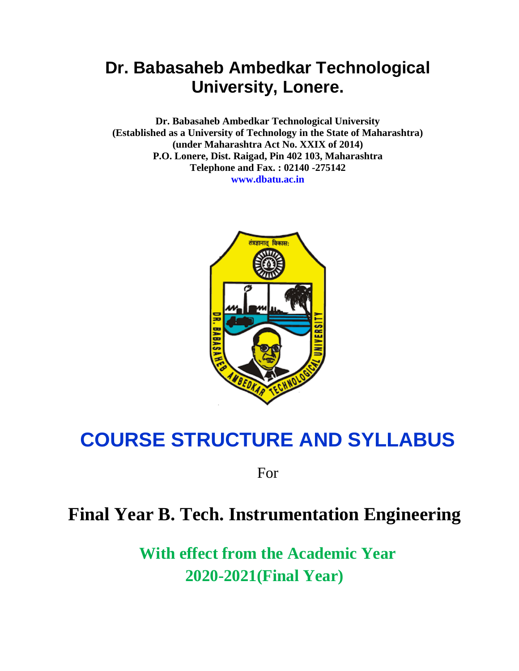**Dr. Babasaheb Ambedkar Technological University (Established as a University of Technology in the State of Maharashtra) (under Maharashtra Act No. XXIX of 2014) P.O. Lonere, Dist. Raigad, Pin 402 103, Maharashtra Telephone and Fax. : 02140 -275142 www.dbatu.ac.in**



# **COURSE STRUCTURE AND SYLLABUS**

For

# **Final Year B. Tech. Instrumentation Engineering**

**With effect from the Academic Year 2020-2021(Final Year)**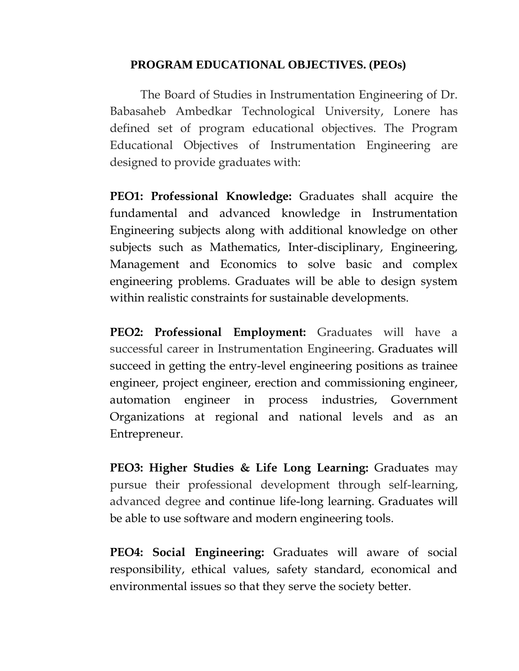# **PROGRAM EDUCATIONAL OBJECTIVES. (PEOs)**

The Board of Studies in Instrumentation Engineering of Dr. Babasaheb Ambedkar Technological University, Lonere has defined set of program educational objectives. The Program Educational Objectives of Instrumentation Engineering are designed to provide graduates with:

**PEO1: Professional Knowledge:** Graduates shall acquire the fundamental and advanced knowledge in Instrumentation Engineering subjects along with additional knowledge on other subjects such as Mathematics, Inter-disciplinary, Engineering, Management and Economics to solve basic and complex engineering problems. Graduates will be able to design system within realistic constraints for sustainable developments.

**PEO2: Professional Employment:** Graduates will have a successful career in Instrumentation Engineering. Graduates will succeed in getting the entry-level engineering positions as trainee engineer, project engineer, erection and commissioning engineer, automation engineer in process industries, Government Organizations at regional and national levels and as an Entrepreneur.

**PEO3: Higher Studies & Life Long Learning:** Graduates may pursue their professional development through self-learning, advanced degree and continue life-long learning. Graduates will be able to use software and modern engineering tools.

**PEO4: Social Engineering:** Graduates will aware of social responsibility, ethical values, safety standard, economical and environmental issues so that they serve the society better.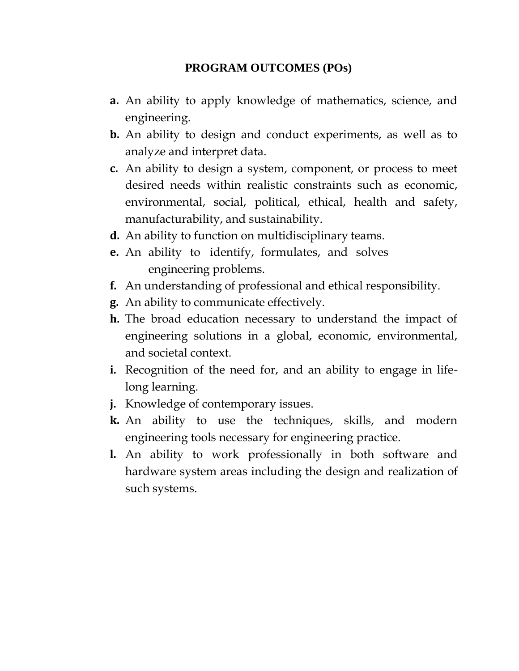# **PROGRAM OUTCOMES (POs)**

- **a.** An ability to apply knowledge of mathematics, science, and engineering.
- **b.** An ability to design and conduct experiments, as well as to analyze and interpret data.
- **c.** An ability to design a system, component, or process to meet desired needs within realistic constraints such as economic, environmental, social, political, ethical, health and safety, manufacturability, and sustainability.
- **d.** An ability to function on multidisciplinary teams.
- **e.** An ability to identify, formulates, and solves engineering problems.
- **f.** An understanding of professional and ethical responsibility.
- **g.** An ability to communicate effectively.
- **h.** The broad education necessary to understand the impact of engineering solutions in a global, economic, environmental, and societal context.
- **i.** Recognition of the need for, and an ability to engage in lifelong learning.
- **j.** Knowledge of contemporary issues.
- **k.** An ability to use the techniques, skills, and modern engineering tools necessary for engineering practice.
- **l.** An ability to work professionally in both software and hardware system areas including the design and realization of such systems.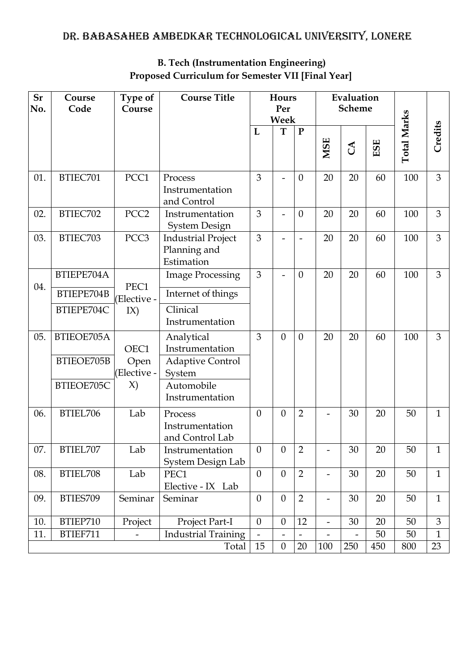| <b>Sr</b><br>No. | Course<br>Code                    | Type of<br>Course        | <b>Course Title</b>                                     | Hours<br>Per<br>Week |                          | Evaluation<br><b>Scheme</b> |                              |                          |     |                    |              |
|------------------|-----------------------------------|--------------------------|---------------------------------------------------------|----------------------|--------------------------|-----------------------------|------------------------------|--------------------------|-----|--------------------|--------------|
|                  |                                   |                          |                                                         | L                    | T                        | ${\bf P}$                   | <b>MSE</b>                   | $\mathcal{L}$            | ESE | <b>Total Marks</b> | Credits      |
| 01.              | BTIEC701                          | PCC1                     | Process<br>Instrumentation<br>and Control               | 3                    |                          | $\theta$                    | 20                           | 20                       | 60  | 100                | 3            |
| 02.              | BTIEC702                          | PCC <sub>2</sub>         | Instrumentation<br><b>System Design</b>                 | 3                    |                          | $\theta$                    | 20                           | 20                       | 60  | 100                | 3            |
| 03.              | BTIEC703                          | PCC <sub>3</sub>         | <b>Industrial Project</b><br>Planning and<br>Estimation | 3                    |                          |                             | 20                           | 20                       | 60  | 100                | 3            |
|                  | BTIEPE704A                        |                          | <b>Image Processing</b>                                 | 3                    | $\overline{\phantom{0}}$ | $\theta$                    | 20                           | 20                       | 60  | 100                | 3            |
| 04.              | PEC1<br>BTIEPE704B<br>(Elective - |                          | Internet of things                                      |                      |                          |                             |                              |                          |     |                    |              |
|                  | BTIEPE704C                        | IX)                      | Clinical<br>Instrumentation                             |                      |                          |                             |                              |                          |     |                    |              |
| 05.              | BTIEOE705A                        | OEC1                     | Analytical<br>Instrumentation                           | 3                    | $\boldsymbol{0}$         | $\boldsymbol{0}$            | 20                           | 20                       | 60  | 100                | 3            |
|                  | BTIEOE705B                        | Open<br>(Elective -      | <b>Adaptive Control</b><br>System                       |                      |                          |                             |                              |                          |     |                    |              |
|                  | BTIEOE705C                        | $\chi$ )                 | Automobile<br>Instrumentation                           |                      |                          |                             |                              |                          |     |                    |              |
| 06.              | BTIEL706                          | Lab                      | Process<br>Instrumentation<br>and Control Lab           | $\theta$             | $\boldsymbol{0}$         | $\overline{2}$              |                              | 30                       | 20  | 50                 | $\mathbf{1}$ |
| 07.              | BTIEL707                          | Lab                      | Instrumentation<br>System Design Lab                    | $\theta$             | 0                        | 2                           | $\overline{\phantom{a}}$     | 30                       | 20  | 50                 | 1            |
| 08.              | BTIEL708                          | Lab                      | PEC1<br>Elective - IX Lab                               | $\overline{0}$       | $\boldsymbol{0}$         | $\overline{2}$              | $\qquad \qquad -$            | 30                       | 20  | 50                 | $\mathbf{1}$ |
| 09.              | BTIES709                          | Seminar                  | Seminar                                                 | $\theta$             | $\overline{0}$           | $\overline{2}$              | $\overline{\phantom{a}}$     | 30                       | 20  | 50                 | $\mathbf{1}$ |
| 10.              | BTIEP710                          | Project                  | Project Part-I                                          | $\mathbf{0}$         | $\boldsymbol{0}$         | 12                          | $\blacksquare$               | 30                       | 20  | 50                 | 3            |
| 11.              | BTIEF711                          | $\overline{\phantom{0}}$ | <b>Industrial Training</b>                              |                      | $\overline{\phantom{0}}$ |                             | $\qquad \qquad \blacksquare$ | $\overline{\phantom{0}}$ | 50  | 50                 | $\mathbf{1}$ |
|                  |                                   |                          | Total                                                   | 15                   | $\boldsymbol{0}$         | 20                          | 100                          | 250                      | 450 | 800                | 23           |

# **B. Tech (Instrumentation Engineering) Proposed Curriculum for Semester VII [Final Year]**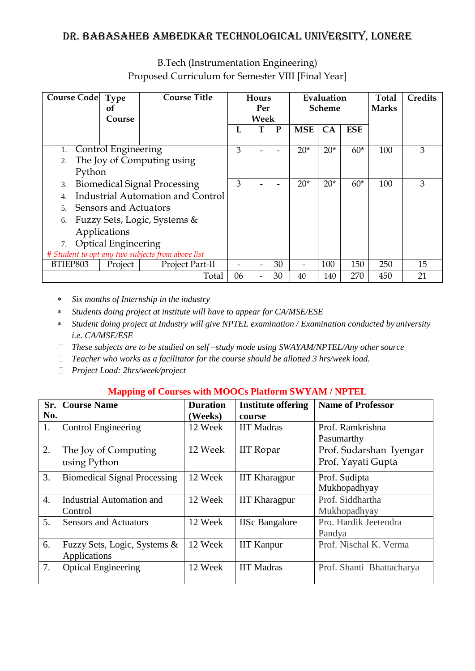| <b>Course Code</b>                                    | <b>Type</b>           | <b>Course Title</b>          |    | Hours |       | Evaluation    |       |            | <b>Total</b> | <b>Credits</b> |
|-------------------------------------------------------|-----------------------|------------------------------|----|-------|-------|---------------|-------|------------|--------------|----------------|
|                                                       | 0f                    |                              |    | Per   |       | <b>Scheme</b> |       |            | <b>Marks</b> |                |
|                                                       | Course                |                              |    | Week  |       |               |       |            |              |                |
|                                                       |                       |                              | L  |       | P     | <b>MSE</b>    | CA    | <b>ESE</b> |              |                |
|                                                       |                       |                              |    |       |       |               |       |            |              |                |
|                                                       | Control Engineering   |                              | 3  |       |       | $20*$         | $20*$ | $60*$      | 100          | 3              |
| 2.                                                    |                       | The Joy of Computing using   |    |       |       |               |       |            |              |                |
| Python                                                |                       |                              |    |       |       |               |       |            |              |                |
| <b>Biomedical Signal Processing</b><br>3.             |                       | 3                            |    |       | $20*$ | $20*$         | $60*$ | 100        | 3            |                |
| Industrial Automation and Control<br>$\overline{4}$ . |                       |                              |    |       |       |               |       |            |              |                |
| $\overline{\mathbf{5}}$                               | Sensors and Actuators |                              |    |       |       |               |       |            |              |                |
| 6.                                                    |                       | Fuzzy Sets, Logic, Systems & |    |       |       |               |       |            |              |                |
| Applications                                          |                       |                              |    |       |       |               |       |            |              |                |
| <b>Optical Engineering</b><br>7.                      |                       |                              |    |       |       |               |       |            |              |                |
| # Student to opt any two subjects from above list     |                       |                              |    |       |       |               |       |            |              |                |
| BTIEP803                                              | Project               | Project Part-II              |    |       | 30    |               | 100   | 150        | 250          | 15             |
|                                                       |                       | Total                        | 06 |       | 30    | 40            | 140   | 270        | 450          | 21             |

B.Tech (Instrumentation Engineering) Proposed Curriculum for Semester VIII [Final Year]

*Six months of Internship in the industry*

*Students doing project at institute will have to appear for CA/MSE/ESE*

- *Student doing project at Industry will give NPTEL examination / Examination conducted by university i.e. CA/MSE/ESE*
- *These subjects are to be studied on self –study mode using SWAYAM/NPTEL/Any other source*
- *Teacher who works as a facilitator for the course should be allotted 3 hrs/week load.*
- *Project Load: 2hrs/week/project*

### **Mapping of Courses with MOOCs Platform SWYAM / NPTEL**

| Sr.              | <b>Course Name</b>                  | <b>Duration</b> | <b>Institute offering</b> | <b>Name of Professor</b>  |
|------------------|-------------------------------------|-----------------|---------------------------|---------------------------|
| No.              |                                     | (Weeks)         | course                    |                           |
| 1.               | <b>Control Engineering</b>          | 12 Week         | <b>IIT Madras</b>         | Prof. Ramkrishna          |
|                  |                                     |                 |                           | Pasumarthy                |
| 2.               | The Joy of Computing                | 12 Week         | <b>IIT</b> Ropar          | Prof. Sudarshan Iyengar   |
|                  | using Python                        |                 |                           | Prof. Yayati Gupta        |
| 3.               | <b>Biomedical Signal Processing</b> | 12 Week         | <b>IIT Kharagpur</b>      | Prof. Sudipta             |
|                  |                                     |                 |                           | Mukhopadhyay              |
| $\overline{4}$ . | <b>Industrial Automation and</b>    | 12 Week         | <b>IIT Kharagpur</b>      | Prof. Siddhartha          |
|                  | Control                             |                 |                           | Mukhopadhyay              |
| 5.               | <b>Sensors and Actuators</b>        | 12 Week         | <b>IISc Bangalore</b>     | Pro. Hardik Jeetendra     |
|                  |                                     |                 |                           | Pandya                    |
| 6.               | Fuzzy Sets, Logic, Systems &        | 12 Week         | <b>IIT Kanpur</b>         | Prof. Nischal K. Verma    |
|                  | Applications                        |                 |                           |                           |
| 7.               | <b>Optical Engineering</b>          | 12 Week         | <b>IIT Madras</b>         | Prof. Shanti Bhattacharya |
|                  |                                     |                 |                           |                           |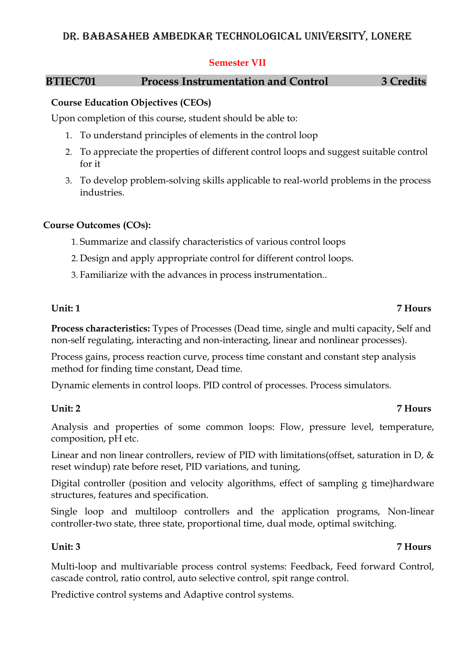### **Semester VII**

# **BTIEC701 Process Instrumentation and Control 3 Credits**

# **Course Education Objectives (CEOs)**

Upon completion of this course, student should be able to:

- 1. To understand principles of elements in the control loop
- 2. To appreciate the properties of different control loops and suggest suitable control for it
- 3. To develop problem-solving skills applicable to real-world problems in the process industries.

# **Course Outcomes (COs):**

- 1. Summarize and classify characteristics of various control loops
- 2. Design and apply appropriate control for different control loops.
- 3. Familiarize with the advances in process instrumentation..

# **Unit: 1 7 Hours**

**Process characteristics:** Types of Processes (Dead time, single and multi capacity, Self and non-self regulating, interacting and non-interacting, linear and nonlinear processes).

Process gains, process reaction curve, process time constant and constant step analysis method for finding time constant, Dead time.

Dynamic elements in control loops. PID control of processes. Process simulators.

# **Unit: 2 7 Hours**

Analysis and properties of some common loops: Flow, pressure level, temperature, composition, pH etc.

Linear and non linear controllers, review of PID with limitations (offset, saturation in D,  $\&$ reset windup) rate before reset, PID variations, and tuning,

Digital controller (position and velocity algorithms, effect of sampling g time)hardware structures, features and specification.

Single loop and multiloop controllers and the application programs, Non-linear controller-two state, three state, proportional time, dual mode, optimal switching.

Multi-loop and multivariable process control systems: Feedback, Feed forward Control, cascade control, ratio control, auto selective control, spit range control.

Predictive control systems and Adaptive control systems.

# **Unit: 3 7 Hours**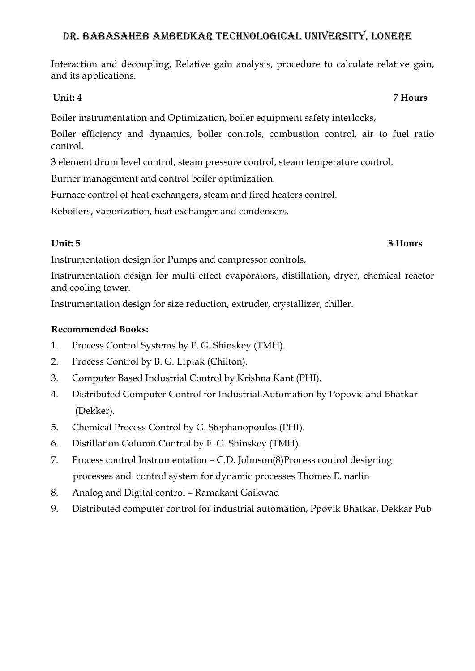Interaction and decoupling, Relative gain analysis, procedure to calculate relative gain, and its applications.

Boiler instrumentation and Optimization, boiler equipment safety interlocks,

Boiler efficiency and dynamics, boiler controls, combustion control, air to fuel ratio control.

3 element drum level control, steam pressure control, steam temperature control.

Burner management and control boiler optimization.

Furnace control of heat exchangers, steam and fired heaters control.

Reboilers, vaporization, heat exchanger and condensers.

Instrumentation design for Pumps and compressor controls,

Instrumentation design for multi effect evaporators, distillation, dryer, chemical reactor and cooling tower.

Instrumentation design for size reduction, extruder, crystallizer, chiller.

### **Recommended Books:**

- 1. Process Control Systems by F. G. Shinskey (TMH).
- 2. Process Control by B. G. LIptak (Chilton).
- 3. Computer Based Industrial Control by Krishna Kant (PHI).
- 4. Distributed Computer Control for Industrial Automation by Popovic and Bhatkar (Dekker).
- 5. Chemical Process Control by G. Stephanopoulos (PHI).
- 6. Distillation Column Control by F. G. Shinskey (TMH).
- 7. Process control Instrumentation C.D. Johnson(8)Process control designing processes and control system for dynamic processes Thomes E. narlin
- 8. Analog and Digital control Ramakant Gaikwad
- 9. Distributed computer control for industrial automation, Ppovik Bhatkar, Dekkar Pub

# *Unit: 4* **7 Hours**

# **Unit: 5 8 Hours**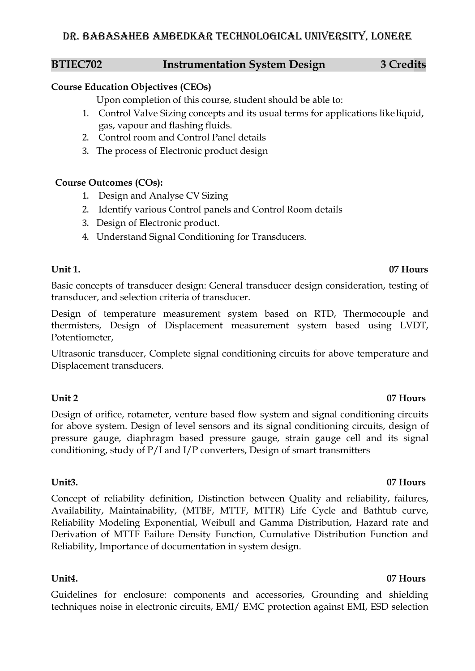### **BTIEC702 Instrumentation System Design 3 Credits**

# **Course Education Objectives (CEOs)**

Upon completion of this course, student should be able to:

- 1. Control Valve Sizing concepts and its usual terms for applications like liquid, gas, vapour and flashing fluids.
- 2. Control room and Control Panel details
- 3. The process of Electronic product design

# **Course Outcomes (COs):**

- 1. Design and Analyse CV Sizing
- 2. Identify various Control panels and Control Room details
- 3. Design of Electronic product.
- 4. Understand Signal Conditioning for Transducers.

# **Unit 1. 07 Hours**

Basic concepts of transducer design: General transducer design consideration, testing of transducer, and selection criteria of transducer.

Design of temperature measurement system based on RTD, Thermocouple and thermisters, Design of Displacement measurement system based using LVDT, Potentiometer,

Ultrasonic transducer, Complete signal conditioning circuits for above temperature and Displacement transducers.

# **Unit 2 07 Hours**

Design of orifice, rotameter, venture based flow system and signal conditioning circuits for above system. Design of level sensors and its signal conditioning circuits, design of pressure gauge, diaphragm based pressure gauge, strain gauge cell and its signal conditioning, study of P/I and I/P converters, Design of smart transmitters

Concept of reliability definition, Distinction between Quality and reliability, failures, Availability, Maintainability, (MTBF, MTTF, MTTR) Life Cycle and Bathtub curve, Reliability Modeling Exponential, Weibull and Gamma Distribution, Hazard rate and Derivation of MTTF Failure Density Function, Cumulative Distribution Function and Reliability, Importance of documentation in system design.

Guidelines for enclosure: components and accessories, Grounding and shielding techniques noise in electronic circuits, EMI/ EMC protection against EMI, ESD selection

### **Unit3. 07 Hours**

# **Unit4. 07 Hours**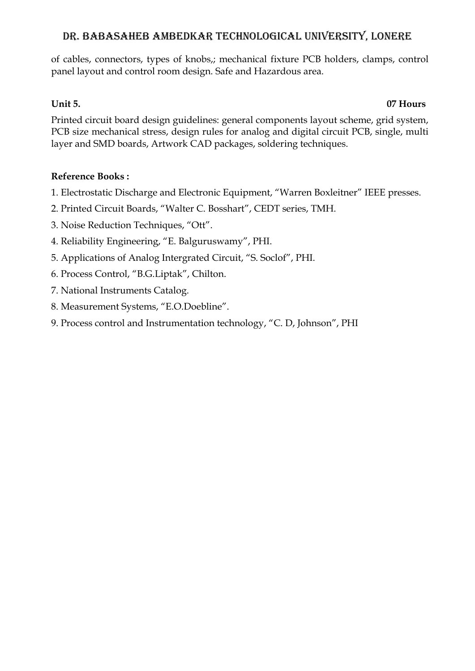of cables, connectors, types of knobs,; mechanical fixture PCB holders, clamps, control panel layout and control room design. Safe and Hazardous area.

# **Unit 5. 07 Hours**

Printed circuit board design guidelines: general components layout scheme, grid system, PCB size mechanical stress, design rules for analog and digital circuit PCB, single, multi layer and SMD boards, Artwork CAD packages, soldering techniques.

# **Reference Books :**

- 1. Electrostatic Discharge and Electronic Equipment, "Warren Boxleitner" IEEE presses.
- 2. Printed Circuit Boards, "Walter C. Bosshart", CEDT series, TMH.
- 3. Noise Reduction Techniques, "Ott".
- 4. Reliability Engineering, "E. Balguruswamy", PHI.
- 5. Applications of Analog Intergrated Circuit, "S. Soclof", PHI.
- 6. Process Control, "B.G.Liptak", Chilton.
- 7. National Instruments Catalog.
- 8. Measurement Systems, "E.O.Doebline".
- 9. Process control and Instrumentation technology, "C. D, Johnson", PHI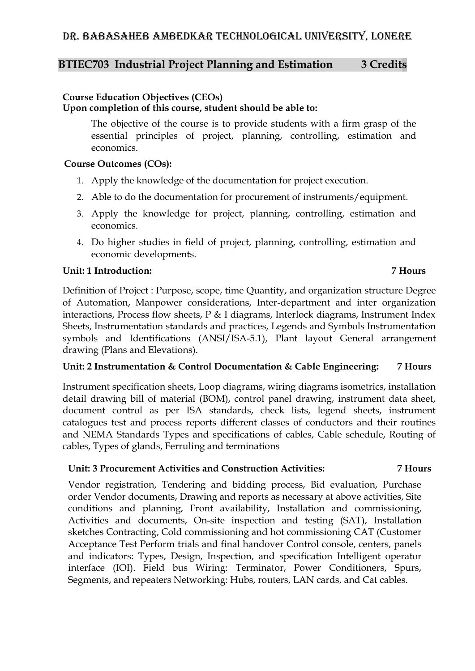### **BTIEC703 Industrial Project Planning and Estimation 3 Credits**

### **Course Education Objectives (CEOs)**

**Upon completion of this course, student should be able to:**

The objective of the course is to provide students with a firm grasp of the essential principles of project, planning, controlling, estimation and economics.

### **Course Outcomes (COs):**

- 1. Apply the knowledge of the documentation for project execution.
- 2. Able to do the documentation for procurement of instruments/equipment.
- 3. Apply the knowledge for project, planning, controlling, estimation and economics.
- 4. Do higher studies in field of project, planning, controlling, estimation and economic developments.

### **Unit: 1 Introduction: 7 Hours**

Definition of Project : Purpose, scope, time Quantity, and organization structure Degree of Automation, Manpower considerations, Inter-department and inter organization interactions, Process flow sheets, P & I diagrams, Interlock diagrams, Instrument Index Sheets, Instrumentation standards and practices, Legends and Symbols Instrumentation symbols and Identifications (ANSI/ISA-5.1), Plant layout General arrangement drawing (Plans and Elevations).

### **Unit: 2 Instrumentation & Control Documentation & Cable Engineering: 7 Hours**

Instrument specification sheets, Loop diagrams, wiring diagrams isometrics, installation detail drawing bill of material (BOM), control panel drawing, instrument data sheet, document control as per ISA standards, check lists, legend sheets, instrument catalogues test and process reports different classes of conductors and their routines and NEMA Standards Types and specifications of cables, Cable schedule, Routing of cables, Types of glands, Ferruling and terminations

### **Unit: 3 Procurement Activities and Construction Activities: 7 Hours**

# Vendor registration, Tendering and bidding process, Bid evaluation, Purchase order Vendor documents, Drawing and reports as necessary at above activities, Site

conditions and planning, Front availability, Installation and commissioning, Activities and documents, On-site inspection and testing (SAT), Installation sketches Contracting, Cold commissioning and hot commissioning CAT (Customer Acceptance Test Perform trials and final handover Control console, centers, panels and indicators: Types, Design, Inspection, and specification Intelligent operator interface (IOI). Field bus Wiring: Terminator, Power Conditioners, Spurs, Segments, and repeaters Networking: Hubs, routers, LAN cards, and Cat cables.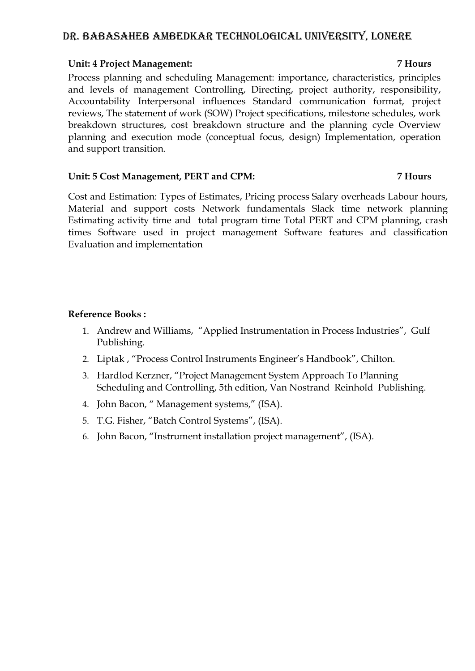### **Unit: 4 Project Management: 7 Hours**

Process planning and scheduling Management: importance, characteristics, principles and levels of management Controlling, Directing, project authority, responsibility, Accountability Interpersonal influences Standard communication format, project reviews, The statement of work (SOW) Project specifications, milestone schedules, work breakdown structures, cost breakdown structure and the planning cycle Overview planning and execution mode (conceptual focus, design) Implementation, operation and support transition.

### **Unit: 5 Cost Management, PERT and CPM: 7 Hours**

Cost and Estimation: Types of Estimates, Pricing process Salary overheads Labour hours, Material and support costs Network fundamentals Slack time network planning Estimating activity time and total program time Total PERT and CPM planning, crash times Software used in project management Software features and classification Evaluation and implementation

### **Reference Books :**

- 1. Andrew and Williams, "Applied Instrumentation in Process Industries", Gulf Publishing.
- 2. Liptak , "Process Control Instruments Engineer's Handbook", Chilton.
- 3. Hardlod Kerzner, "Project Management System Approach To Planning Scheduling and Controlling, 5th edition, Van Nostrand Reinhold Publishing.
- 4. John Bacon, " Management systems," (ISA).
- 5. T.G. Fisher, "Batch Control Systems", (ISA).
- 6. John Bacon, "Instrument installation project management", (ISA).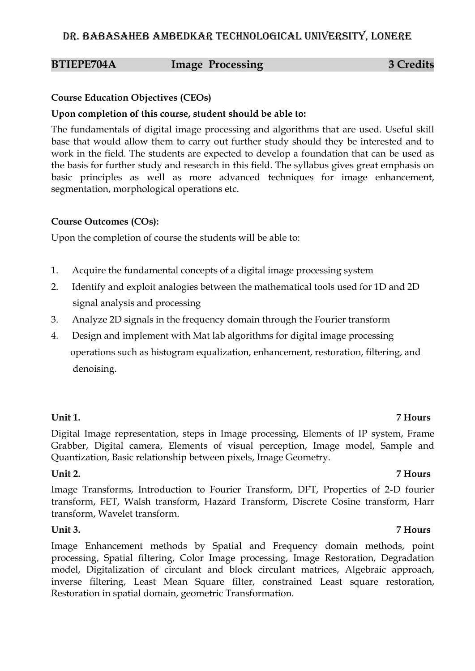### **BTIEPE704A Image Processing 3 Credits**

### **Course Education Objectives (CEOs)**

### **Upon completion of this course, student should be able to:**

The fundamentals of digital image processing and algorithms that are used. Useful skill base that would allow them to carry out further study should they be interested and to work in the field. The students are expected to develop a foundation that can be used as the basis for further study and research in this field. The syllabus gives great emphasis on basic principles as well as more advanced techniques for image enhancement, segmentation, morphological operations etc.

### **Course Outcomes (COs):**

Upon the completion of course the students will be able to:

- 1. Acquire the fundamental concepts of a digital image processing system
- 2. Identify and exploit analogies between the mathematical tools used for 1D and 2D signal analysis and processing
- 3. Analyze 2D signals in the frequency domain through the Fourier transform
- 4. Design and implement with Mat lab algorithms for digital image processing operations such as histogram equalization, enhancement, restoration, filtering, and denoising.

### **Unit 1. 7 Hours**

Digital Image representation, steps in Image processing, Elements of IP system, Frame Grabber, Digital camera, Elements of visual perception, Image model, Sample and Quantization, Basic relationship between pixels, Image Geometry.

### **Unit 2. 7 Hours**

Image Transforms, Introduction to Fourier Transform, DFT, Properties of 2-D fourier transform, FET, Walsh transform, Hazard Transform, Discrete Cosine transform, Harr transform, Wavelet transform.

### **Unit 3. 7 Hours**

Image Enhancement methods by Spatial and Frequency domain methods, point processing, Spatial filtering, Color Image processing, Image Restoration, Degradation model, Digitalization of circulant and block circulant matrices, Algebraic approach, inverse filtering, Least Mean Square filter, constrained Least square restoration, Restoration in spatial domain, geometric Transformation.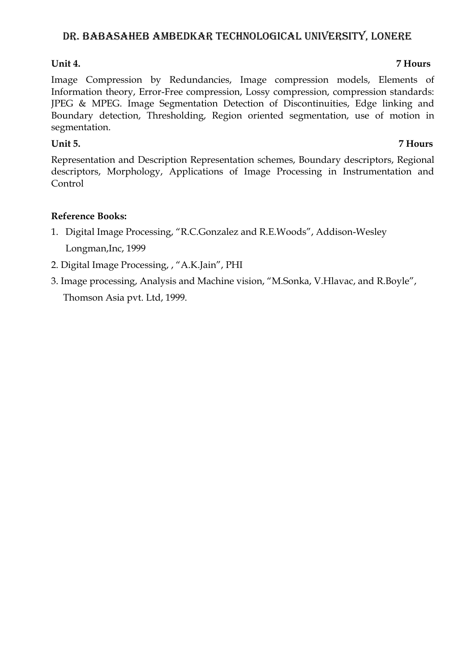# **Unit 4. 7 Hours**

Image Compression by Redundancies, Image compression models, Elements of Information theory, Error-Free compression, Lossy compression, compression standards: JPEG & MPEG. Image Segmentation Detection of Discontinuities, Edge linking and Boundary detection, Thresholding, Region oriented segmentation, use of motion in segmentation.

# **Unit 5. 7 Hours**

Representation and Description Representation schemes, Boundary descriptors, Regional descriptors, Morphology, Applications of Image Processing in Instrumentation and Control

# **Reference Books:**

- 1. Digital Image Processing, "R.C.Gonzalez and R.E.Woods", Addison-Wesley Longman,Inc, 1999
- 2. Digital Image Processing, , "A.K.Jain", PHI
- 3. Image processing, Analysis and Machine vision, "M.Sonka, V.Hlavac, and R.Boyle", Thomson Asia pvt. Ltd, 1999.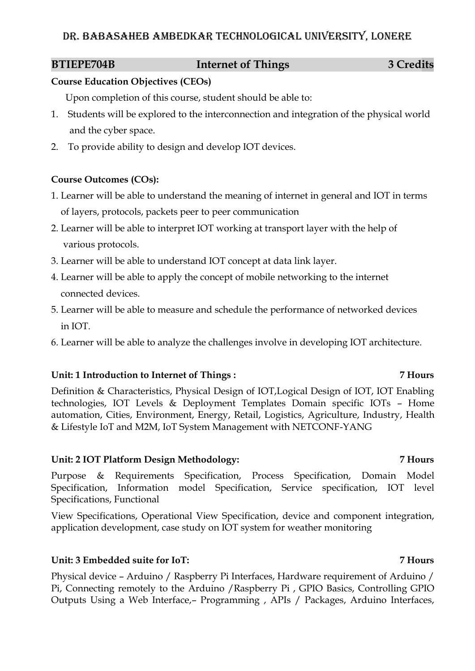# **BTIEPE704B** Internet of Things 3 Credits

### **Course Education Objectives (CEOs)**

Upon completion of this course, student should be able to:

- 1. Students will be explored to the interconnection and integration of the physical world and the cyber space.
- 2. To provide ability to design and develop IOT devices.

# **Course Outcomes (COs):**

- 1. Learner will be able to understand the meaning of internet in general and IOT in terms of layers, protocols, packets peer to peer communication
- 2. Learner will be able to interpret IOT working at transport layer with the help of various protocols.
- 3. Learner will be able to understand IOT concept at data link layer.
- 4. Learner will be able to apply the concept of mobile networking to the internet connected devices.
- 5. Learner will be able to measure and schedule the performance of networked devices in IOT.
- 6. Learner will be able to analyze the challenges involve in developing IOT architecture.

# **Unit: 1 Introduction to Internet of Things : 7 Hours**

Definition & Characteristics, Physical Design of IOT,Logical Design of IOT, IOT Enabling technologies, IOT Levels & Deployment Templates Domain specific IOTs – Home automation, Cities, Environment, Energy, Retail, Logistics, Agriculture, Industry, Health & Lifestyle IoT and M2M, IoT System Management with NETCONF-YANG

# **Unit: 2 IOT Platform Design Methodology: 7 Hours**

Purpose & Requirements Specification, Process Specification, Domain Model Specification, Information model Specification, Service specification, IOT level Specifications, Functional

View Specifications, Operational View Specification, device and component integration, application development, case study on IOT system for weather monitoring

# **Unit: 3 Embedded suite for IoT: 7 Hours**

Physical device – Arduino / Raspberry Pi Interfaces, Hardware requirement of Arduino / Pi, Connecting remotely to the Arduino /Raspberry Pi , GPIO Basics, Controlling GPIO Outputs Using a Web Interface,– Programming , APIs / Packages, Arduino Interfaces,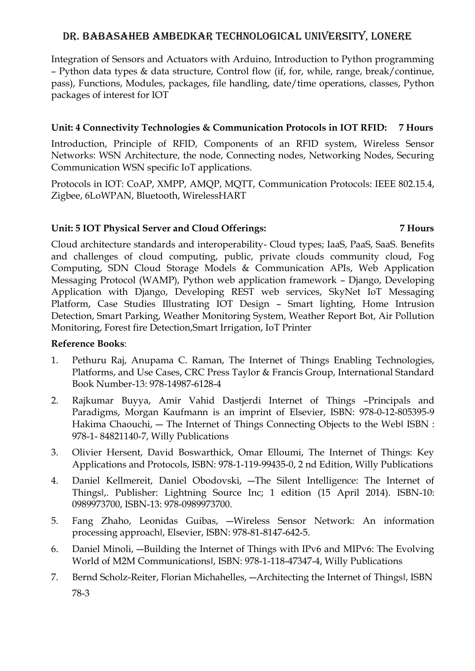Integration of Sensors and Actuators with Arduino, Introduction to Python programming – Python data types & data structure, Control flow (if, for, while, range, break/continue, pass), Functions, Modules, packages, file handling, date/time operations, classes, Python packages of interest for IOT

# **Unit: 4 Connectivity Technologies & Communication Protocols in IOT RFID: 7 Hours**

Introduction, Principle of RFID, Components of an RFID system, Wireless Sensor Networks: WSN Architecture, the node, Connecting nodes, Networking Nodes, Securing Communication WSN specific IoT applications.

Protocols in IOT: CoAP, XMPP, AMQP, MQTT, Communication Protocols: IEEE 802.15.4, Zigbee, 6LoWPAN, Bluetooth, WirelessHART

### **Unit: 5 IOT Physical Server and Cloud Offerings: 7 Hours**

Cloud architecture standards and interoperability- Cloud types; IaaS, PaaS, SaaS. Benefits and challenges of cloud computing, public, private clouds community cloud, Fog Computing, SDN Cloud Storage Models & Communication APIs, Web Application Messaging Protocol (WAMP), Python web application framework – Django, Developing Application with Django, Developing REST web services, SkyNet IoT Messaging Platform, Case Studies Illustrating IOT Design – Smart lighting, Home Intrusion Detection, Smart Parking, Weather Monitoring System, Weather Report Bot, Air Pollution Monitoring, Forest fire Detection,Smart Irrigation, IoT Printer

# **Reference Books**:

- 1. Pethuru Raj, Anupama C. Raman, The Internet of Things Enabling Technologies, Platforms, and Use Cases, CRC Press Taylor & Francis Group, International Standard Book Number-13: 978-14987-6128-4
- 2. Rajkumar Buyya, Amir Vahid Dastjerdi Internet of Things –Principals and Paradigms, Morgan Kaufmann is an imprint of Elsevier, ISBN: 978-0-12-805395-9 Hakima Chaouchi, — The Internet of Things Connecting Objects to the Webl ISBN : 978-1- 84821140-7, Willy Publications
- 3. Olivier Hersent, David Boswarthick, Omar Elloumi, The Internet of Things: Key Applications and Protocols, ISBN: 978-1-119-99435-0, 2 nd Edition, Willy Publications
- 4. Daniel Kellmereit, Daniel Obodovski, ―The Silent Intelligence: The Internet of Things‖,. Publisher: Lightning Source Inc; 1 edition (15 April 2014). ISBN-10: 0989973700, ISBN-13: 978-0989973700.
- 5. Fang Zhaho, Leonidas Guibas, ―Wireless Sensor Network: An information processing approach‖, Elsevier, ISBN: 978-81-8147-642-5.
- 6. Daniel Minoli, ―Building the Internet of Things with IPv6 and MIPv6: The Evolving World of M2M Communications‖, ISBN: 978-1-118-47347-4, Willy Publications
- 7. Bernd Scholz-Reiter, Florian Michahelles, -- Architecting the Internet of Thingsl, ISBN 78-3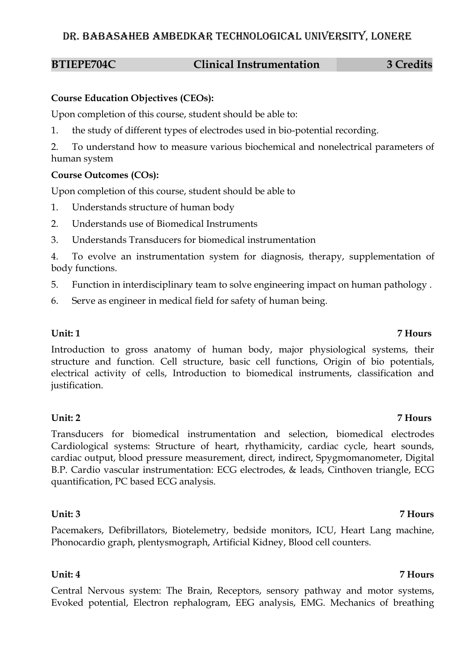### **BTIEPE704C Clinical Instrumentation 3 Credits**

### **Course Education Objectives (CEOs):**

Upon completion of this course, student should be able to:

1. the study of different types of electrodes used in bio-potential recording.

2. To understand how to measure various biochemical and nonelectrical parameters of human system

# **Course Outcomes (COs):**

Upon completion of this course, student should be able to

- 1. Understands structure of human body
- 2. Understands use of Biomedical Instruments
- 3. Understands Transducers for biomedical instrumentation

4. To evolve an instrumentation system for diagnosis, therapy, supplementation of body functions.

- 5. Function in interdisciplinary team to solve engineering impact on human pathology .
- 6. Serve as engineer in medical field for safety of human being.

Introduction to gross anatomy of human body, major physiological systems, their structure and function. Cell structure, basic cell functions, Origin of bio potentials, electrical activity of cells, Introduction to biomedical instruments, classification and justification.

### **Unit: 2 7 Hours**

Transducers for biomedical instrumentation and selection, biomedical electrodes Cardiological systems: Structure of heart, rhythamicity, cardiac cycle, heart sounds, cardiac output, blood pressure measurement, direct, indirect, Spygmomanometer, Digital B.P. Cardio vascular instrumentation: ECG electrodes, & leads, Cinthoven triangle, ECG quantification, PC based ECG analysis.

### **Unit: 3 7 Hours**

Pacemakers, Defibrillators, Biotelemetry, bedside monitors, ICU, Heart Lang machine, Phonocardio graph, plentysmograph, Artificial Kidney, Blood cell counters.

### **Unit: 4 7 Hours**

Central Nervous system: The Brain, Receptors, sensory pathway and motor systems, Evoked potential, Electron rephalogram, EEG analysis, EMG. Mechanics of breathing

### **Unit: 1 7 Hours**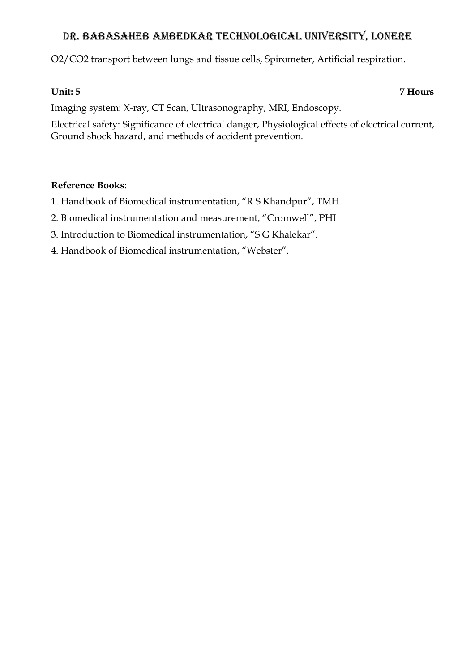O2/CO2 transport between lungs and tissue cells, Spirometer, Artificial respiration.

# **Unit: 5 7 Hours**

Imaging system: X-ray, CT Scan, Ultrasonography, MRI, Endoscopy.

Electrical safety: Significance of electrical danger, Physiological effects of electrical current, Ground shock hazard, and methods of accident prevention.

# **Reference Books**:

- 1. Handbook of Biomedical instrumentation, "R S Khandpur", TMH
- 2. Biomedical instrumentation and measurement, "Cromwell", PHI
- 3. Introduction to Biomedical instrumentation, "S G Khalekar".
- 4. Handbook of Biomedical instrumentation, "Webster".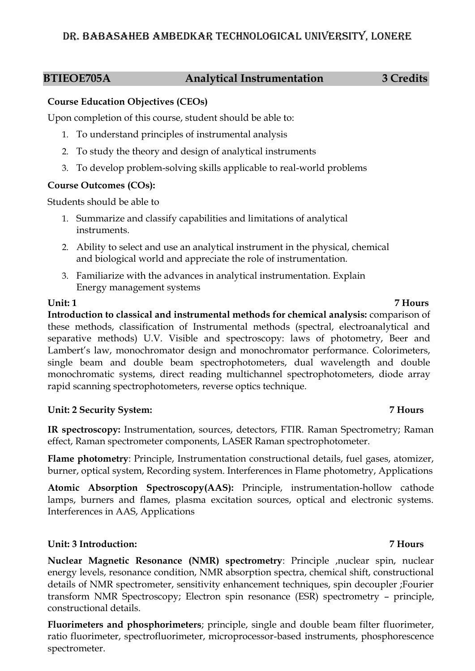# **BTIEOE705A Analytical Instrumentation 3 Credits**

# **Course Education Objectives (CEOs)**

Upon completion of this course, student should be able to:

- 1. To understand principles of instrumental analysis
- 2. To study the theory and design of analytical instruments
- 3. To develop problem-solving skills applicable to real-world problems

# **Course Outcomes (COs):**

Students should be able to

- 1. Summarize and classify capabilities and limitations of analytical instruments.
- 2. Ability to select and use an analytical instrument in the physical, chemical and biological world and appreciate the role of instrumentation.
- 3. Familiarize with the advances in analytical instrumentation. Explain Energy management systems

**Unit: 1 7 Hours Introduction to classical and instrumental methods for chemical analysis:** comparison of these methods, classification of Instrumental methods (spectral, electroanalytical and separative methods) U.V. Visible and spectroscopy: laws of photometry, Beer and Lambert's law, monochromator design and monochromator performance. Colorimeters, single beam and double beam spectrophotometers, dual wavelength and double monochromatic systems, direct reading multichannel spectrophotometers, diode array rapid scanning spectrophotometers, reverse optics technique.

# **Unit: 2 Security System: 7 Hours**

**IR spectroscopy:** Instrumentation, sources, detectors, FTIR. Raman Spectrometry; Raman effect, Raman spectrometer components, LASER Raman spectrophotometer.

**Flame photometry**: Principle, Instrumentation constructional details, fuel gases, atomizer, burner, optical system, Recording system. Interferences in Flame photometry, Applications

**Atomic Absorption Spectroscopy(AAS):** Principle, instrumentation-hollow cathode lamps, burners and flames, plasma excitation sources, optical and electronic systems. Interferences in AAS, Applications

# **Unit: 3 Introduction: 7 Hours**

**Nuclear Magnetic Resonance (NMR) spectrometry**: Principle ,nuclear spin, nuclear energy levels, resonance condition, NMR absorption spectra, chemical shift, constructional details of NMR spectrometer, sensitivity enhancement techniques, spin decoupler ;Fourier transform NMR Spectroscopy; Electron spin resonance (ESR) spectrometry – principle, constructional details.

**Fluorimeters and phosphorimeters**; principle, single and double beam filter fluorimeter, ratio fluorimeter, spectrofluorimeter, microprocessor-based instruments, phosphorescence spectrometer.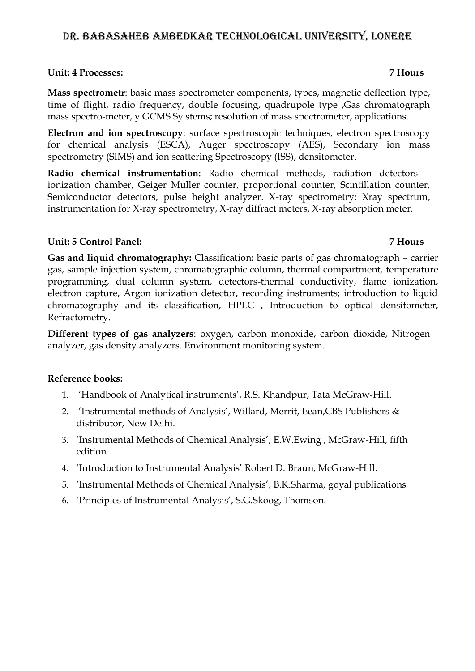### **Unit: 4 Processes: 7 Hours**

**Mass spectrometr**: basic mass spectrometer components, types, magnetic deflection type, time of flight, radio frequency, double focusing, quadrupole type ,Gas chromatograph mass spectro-meter, y GCMS Sy stems; resolution of mass spectrometer, applications.

**Electron and ion spectroscopy**: surface spectroscopic techniques, electron spectroscopy for chemical analysis (ESCA), Auger spectroscopy (AES), Secondary ion mass spectrometry (SIMS) and ion scattering Spectroscopy (ISS), densitometer.

**Radio chemical instrumentation:** Radio chemical methods, radiation detectors – ionization chamber, Geiger Muller counter, proportional counter, Scintillation counter, Semiconductor detectors, pulse height analyzer. X-ray spectrometry: Xray spectrum, instrumentation for X-ray spectrometry, X-ray diffract meters, X-ray absorption meter.

### **Unit: 5 Control Panel: 7 Hours**

**Gas and liquid chromatography:** Classification; basic parts of gas chromatograph – carrier gas, sample injection system, chromatographic column, thermal compartment, temperature programming, dual column system, detectors-thermal conductivity, flame ionization, electron capture, Argon ionization detector, recording instruments; introduction to liquid chromatography and its classification, HPLC , Introduction to optical densitometer, Refractometry.

**Different types of gas analyzers**: oxygen, carbon monoxide, carbon dioxide, Nitrogen analyzer, gas density analyzers. Environment monitoring system.

### **Reference books:**

- 1. 'Handbook of Analytical instruments', R.S. Khandpur, Tata McGraw-Hill.
- 2. 'Instrumental methods of Analysis', Willard, Merrit, Eean,CBS Publishers & distributor, New Delhi.
- 3. 'Instrumental Methods of Chemical Analysis', E.W.Ewing , McGraw-Hill, fifth edition
- 4. 'Introduction to Instrumental Analysis' Robert D. Braun, McGraw-Hill.
- 5. 'Instrumental Methods of Chemical Analysis', B.K.Sharma, goyal publications
- 6. 'Principles of Instrumental Analysis', S.G.Skoog, Thomson.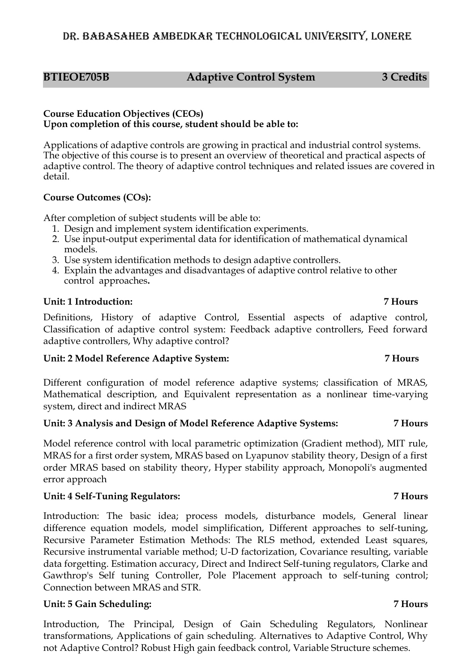# **BTIEOE705B Adaptive Control System 3 Credits**

### **Course Education Objectives (CEOs) Upon completion of this course, student should be able to:**

Applications of adaptive controls are growing in practical and industrial control systems. The objective of this course is to present an overview of theoretical and practical aspects of adaptive control. The theory of adaptive control techniques and related issues are covered in detail.

# **Course Outcomes (COs):**

After completion of subject students will be able to:

- 1. Design and implement system identification experiments.
- 2. Use input-output experimental data for identification of mathematical dynamical models.
- 3. Use system identification methods to design adaptive controllers.
- 4. Explain the advantages and disadvantages of adaptive control relative to other control approaches**.**

# **Unit: 1 Introduction: 7 Hours**

Definitions, History of adaptive Control, Essential aspects of adaptive control, Classification of adaptive control system: Feedback adaptive controllers, Feed forward adaptive controllers, Why adaptive control?

# **Unit: 2 Model Reference Adaptive System: 7 Hours**

Different configuration of model reference adaptive systems; classification of MRAS, Mathematical description, and Equivalent representation as a nonlinear time-varying system, direct and indirect MRAS

# **Unit: 3 Analysis and Design of Model Reference Adaptive Systems: 7 Hours**

Model reference control with local parametric optimization (Gradient method), MIT rule, MRAS for a first order system, MRAS based on Lyapunov stability theory, Design of a first order MRAS based on stability theory, Hyper stability approach, Monopoli's augmented error approach

# **Unit: 4 Self-Tuning Regulators: 7 Hours**

Introduction: The basic idea; process models, disturbance models, General linear difference equation models, model simplification, Different approaches to self-tuning, Recursive Parameter Estimation Methods: The RLS method, extended Least squares, Recursive instrumental variable method; U-D factorization, Covariance resulting, variable data forgetting. Estimation accuracy, Direct and Indirect Self-tuning regulators, Clarke and Gawthrop's Self tuning Controller, Pole Placement approach to self-tuning control; Connection between MRAS and STR.

# **Unit: 5 Gain Scheduling: 7 Hours**

Introduction, The Principal, Design of Gain Scheduling Regulators, Nonlinear transformations, Applications of gain scheduling. Alternatives to Adaptive Control, Why not Adaptive Control? Robust High gain feedback control, Variable Structure schemes.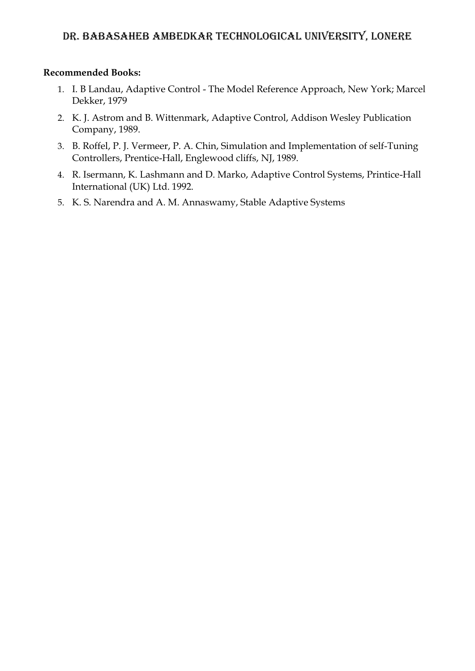### **Recommended Books:**

- 1. I. B Landau, Adaptive Control The Model Reference Approach, New York; Marcel Dekker, 1979
- 2. K. J. Astrom and B. Wittenmark, Adaptive Control, Addison Wesley Publication Company, 1989.
- 3. B. Roffel, P. J. Vermeer, P. A. Chin, Simulation and Implementation of self-Tuning Controllers, Prentice-Hall, Englewood cliffs, NJ, 1989.
- 4. R. Isermann, K. Lashmann and D. Marko, Adaptive Control Systems, Printice-Hall International (UK) Ltd. 1992.
- 5. K. S. Narendra and A. M. Annaswamy, Stable Adaptive Systems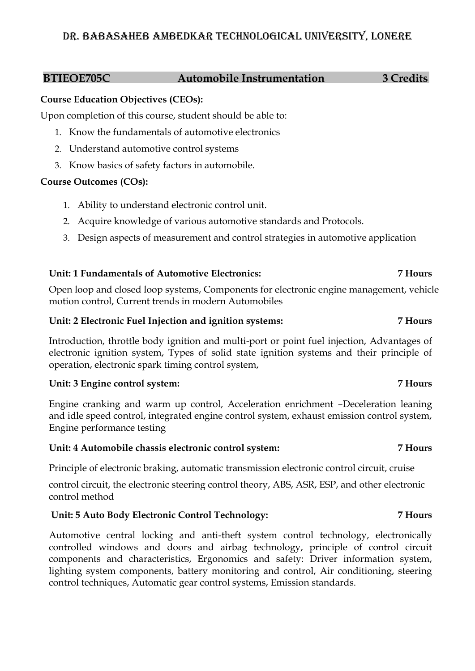### **BTIEOE705C Automobile Instrumentation 3 Credits**

### **Course Education Objectives (CEOs):**

Upon completion of this course, student should be able to:

- 1. Know the fundamentals of automotive electronics
- 2. Understand automotive control systems
- 3. Know basics of safety factors in automobile.

# **Course Outcomes (COs):**

- 1. Ability to understand electronic control unit.
- 2. Acquire knowledge of various automotive standards and Protocols.
- 3. Design aspects of measurement and control strategies in automotive application

# **Unit: 1 Fundamentals of Automotive Electronics: 7 Hours**

Open loop and closed loop systems, Components for electronic engine management, vehicle motion control, Current trends in modern Automobiles

### **Unit: 2 Electronic Fuel Injection and ignition systems: 7 Hours**

Introduction, throttle body ignition and multi-port or point fuel injection, Advantages of electronic ignition system, Types of solid state ignition systems and their principle of operation, electronic spark timing control system,

# **Unit: 3 Engine control system: 7 Hours**

Engine cranking and warm up control, Acceleration enrichment –Deceleration leaning and idle speed control, integrated engine control system, exhaust emission control system, Engine performance testing

# **Unit: 4 Automobile chassis electronic control system: 7 Hours**

Principle of electronic braking, automatic transmission electronic control circuit, cruise

control circuit, the electronic steering control theory, ABS, ASR, ESP, and other electronic control method

# **Unit: 5 Auto Body Electronic Control Technology: 7 Hours**

Automotive central locking and anti-theft system control technology, electronically controlled windows and doors and airbag technology, principle of control circuit components and characteristics, Ergonomics and safety: Driver information system, lighting system components, battery monitoring and control, Air conditioning, steering control techniques, Automatic gear control systems, Emission standards.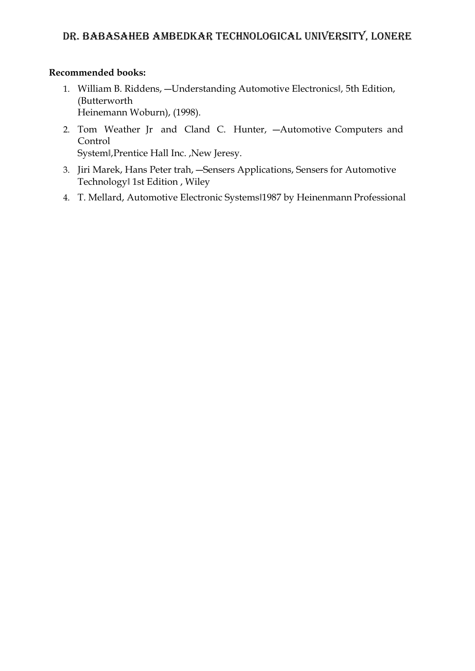### **Recommended books:**

- 1. William B. Riddens, --Understanding Automotive Electronicsl, 5th Edition, (Butterworth Heinemann Woburn), (1998).
- 2. Tom Weather Jr and Cland C. Hunter, ―Automotive Computers and Control System||, Prentice Hall Inc. , New Jeresy.
- 3. Jiri Marek, Hans Peter trah, ―Sensers Applications, Sensers for Automotive Technology‖ 1st Edition , Wiley
- 4. T. Mellard, Automotive Electronic Systems‖1987 by Heinenmann Professional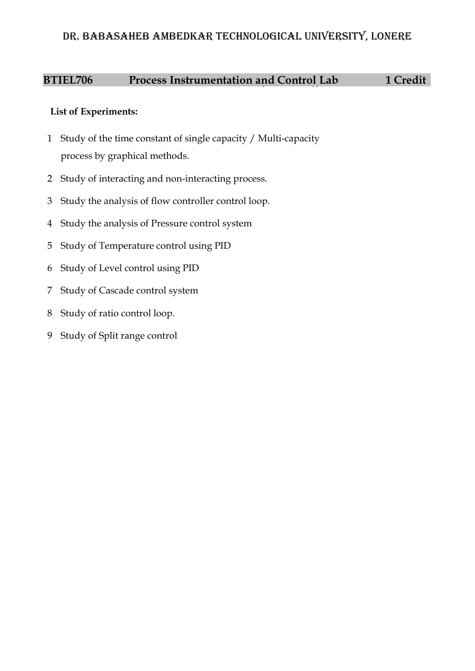# **BTIEL706** Process Instrumentation and Control Lab 1 Credit

- Study of the time constant of single capacity / Multi-capacity process by graphical methods.
- Study of interacting and non-interacting process.
- Study the analysis of flow controller control loop.
- Study the analysis of Pressure control system
- Study of Temperature control using PID
- Study of Level control using PID
- Study of Cascade control system
- Study of ratio control loop.
- Study of Split range control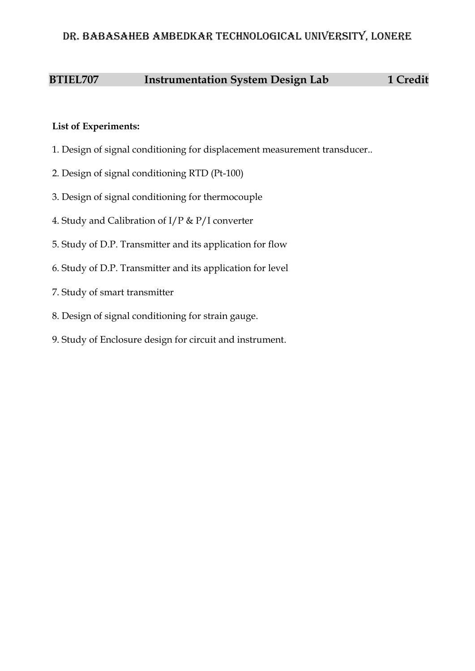# **BTIEL707 Instrumentation System Design Lab 1 Credit**

- 1. Design of signal conditioning for displacement measurement transducer..
- 2. Design of signal conditioning RTD (Pt-100)
- 3. Design of signal conditioning for thermocouple
- 4. Study and Calibration of I/P & P/I converter
- 5. Study of D.P. Transmitter and its application for flow
- 6. Study of D.P. Transmitter and its application for level
- 7. Study of smart transmitter
- 8. Design of signal conditioning for strain gauge.
- 9. Study of Enclosure design for circuit and instrument.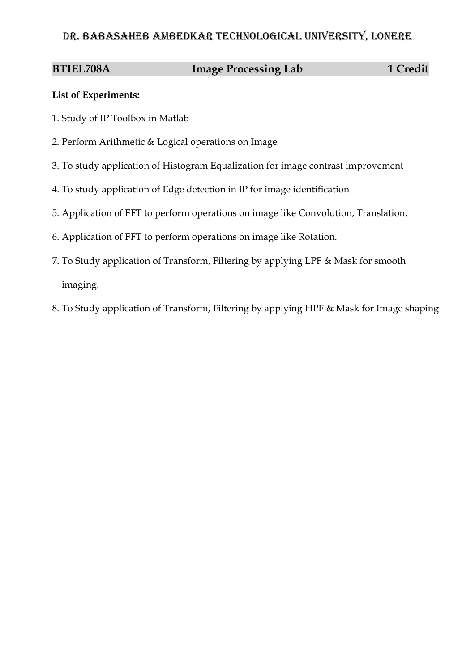# **BTIEL708A** Image Processing Lab 1 Credit

- 1. Study of IP Toolbox in Matlab
- 2. Perform Arithmetic & Logical operations on Image
- 3. To study application of Histogram Equalization for image contrast improvement
- 4. To study application of Edge detection in IP for image identification
- 5. Application of FFT to perform operations on image like Convolution, Translation.
- 6. Application of FFT to perform operations on image like Rotation.
- 7. To Study application of Transform, Filtering by applying LPF & Mask for smooth imaging.
- 8. To Study application of Transform, Filtering by applying HPF & Mask for Image shaping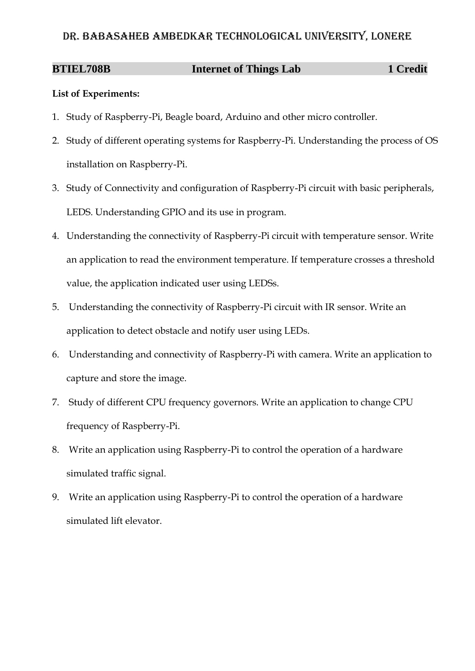# **BTIEL708B Internet of Things Lab 1 Credit**

- 1. Study of Raspberry-Pi, Beagle board, Arduino and other micro controller.
- 2. Study of different operating systems for Raspberry-Pi. Understanding the process of OS installation on Raspberry-Pi.
- 3. Study of Connectivity and configuration of Raspberry-Pi circuit with basic peripherals, LEDS. Understanding GPIO and its use in program.
- 4. Understanding the connectivity of Raspberry-Pi circuit with temperature sensor. Write an application to read the environment temperature. If temperature crosses a threshold value, the application indicated user using LEDSs.
- 5. Understanding the connectivity of Raspberry-Pi circuit with IR sensor. Write an application to detect obstacle and notify user using LEDs.
- 6. Understanding and connectivity of Raspberry-Pi with camera. Write an application to capture and store the image.
- 7. Study of different CPU frequency governors. Write an application to change CPU frequency of Raspberry-Pi.
- 8. Write an application using Raspberry-Pi to control the operation of a hardware simulated traffic signal.
- 9. Write an application using Raspberry-Pi to control the operation of a hardware simulated lift elevator.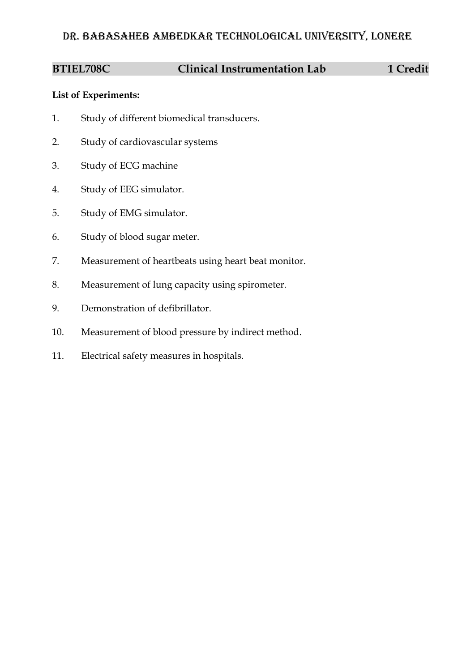# **BTIEL708C Clinical Instrumentation Lab 1 Credit**

- 1. Study of different biomedical transducers.
- 2. Study of cardiovascular systems
- 3. Study of ECG machine
- 4. Study of EEG simulator.
- 5. Study of EMG simulator.
- 6. Study of blood sugar meter.
- 7. Measurement of heartbeats using heart beat monitor.
- 8. Measurement of lung capacity using spirometer.
- 9. Demonstration of defibrillator.
- 10. Measurement of blood pressure by indirect method.
- 11. Electrical safety measures in hospitals.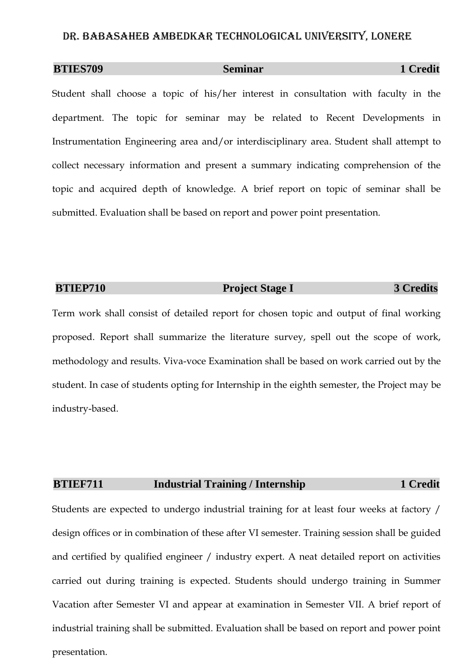# **BTIES709** Seminar 1 Credit

Student shall choose a topic of his/her interest in consultation with faculty in the department. The topic for seminar may be related to Recent Developments in Instrumentation Engineering area and/or interdisciplinary area. Student shall attempt to collect necessary information and present a summary indicating comprehension of the topic and acquired depth of knowledge. A brief report on topic of seminar shall be submitted. Evaluation shall be based on report and power point presentation.

### **BTIEP710** Project Stage I 3 Credits

Term work shall consist of detailed report for chosen topic and output of final working proposed. Report shall summarize the literature survey, spell out the scope of work, methodology and results. Viva-voce Examination shall be based on work carried out by the student. In case of students opting for Internship in the eighth semester, the Project may be industry-based.

### **BTIEF711** Industrial Training / Internship 1 Credit

Students are expected to undergo industrial training for at least four weeks at factory / design offices or in combination of these after VI semester. Training session shall be guided and certified by qualified engineer / industry expert. A neat detailed report on activities carried out during training is expected. Students should undergo training in Summer Vacation after Semester VI and appear at examination in Semester VII. A brief report of industrial training shall be submitted. Evaluation shall be based on report and power point presentation.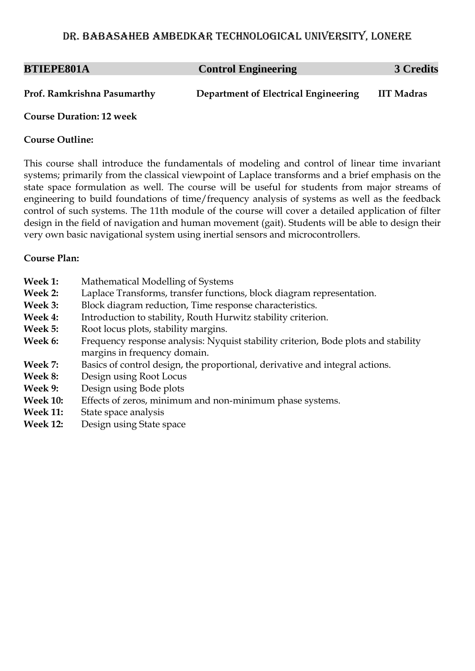| <b>BTIEPE801A</b>           | <b>Control Engineering</b>           | 3 Credits         |
|-----------------------------|--------------------------------------|-------------------|
| Prof. Ramkrishna Pasumarthy | Department of Electrical Engineering | <b>IIT Madras</b> |

### **Course Duration: 12 week**

### **Course Outline:**

This course shall introduce the fundamentals of modeling and control of linear time invariant systems; primarily from the classical viewpoint of Laplace transforms and a brief emphasis on the state space formulation as well. The course will be useful for students from major streams of engineering to build foundations of time/frequency analysis of systems as well as the feedback control of such systems. The 11th module of the course will cover a detailed application of filter design in the field of navigation and human movement (gait). Students will be able to design their very own basic navigational system using inertial sensors and microcontrollers.

- **Week 1:** Mathematical Modelling of Systems
- **Week 2:** Laplace Transforms, transfer functions, block diagram representation.
- **Week 3:** Block diagram reduction, Time response characteristics.
- **Week 4:** Introduction to stability, Routh Hurwitz stability criterion.
- **Week 5:** Root locus plots, stability margins.
- Week 6: Frequency response analysis: Nyquist stability criterion, Bode plots and stability margins in frequency domain.
- **Week 7:** Basics of control design, the proportional, derivative and integral actions.
- **Week 8:** Design using Root Locus
- **Week 9:** Design using Bode plots
- **Week 10:** Effects of zeros, minimum and non-minimum phase systems.
- **Week 11:** State space analysis
- **Week 12:** Design using State space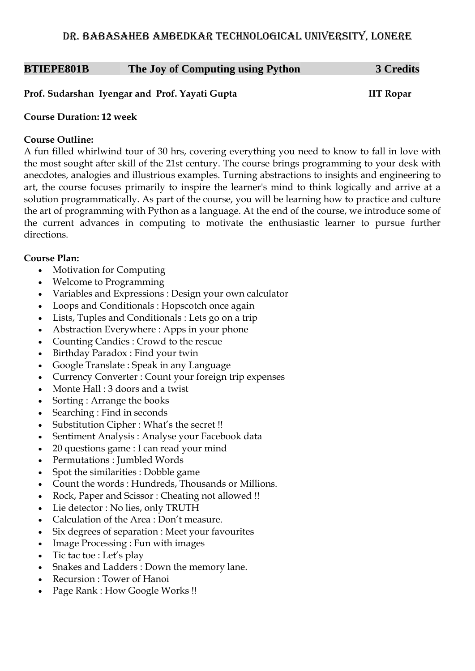# **BTIEPE801B The Joy of Computing using Python 3 Credits**

### **Prof. Sudarshan Iyengar and Prof. Yayati Gupta IIT Ropar**

### **Course Duration: 12 week**

### **Course Outline:**

A fun filled whirlwind tour of 30 hrs, covering everything you need to know to fall in love with the most sought after skill of the 21st century. The course brings programming to your desk with anecdotes, analogies and illustrious examples. Turning abstractions to insights and engineering to art, the course focuses primarily to inspire the learner's mind to think logically and arrive at a solution programmatically. As part of the course, you will be learning how to practice and culture the art of programming with Python as a language. At the end of the course, we introduce some of the current advances in computing to motivate the enthusiastic learner to pursue further directions.

- Motivation for Computing
- Welcome to Programming
- Variables and Expressions : Design your own calculator
- Loops and Conditionals : Hopscotch once again
- Lists, Tuples and Conditionals : Lets go on a trip
- Abstraction Everywhere : Apps in your phone
- Counting Candies : Crowd to the rescue
- Birthday Paradox : Find your twin
- Google Translate : Speak in any Language
- Currency Converter : Count your foreign trip expenses
- Monte Hall : 3 doors and a twist
- Sorting : Arrange the books
- Searching : Find in seconds
- Substitution Cipher : What's the secret !!
- Sentiment Analysis : Analyse your Facebook data
- 20 questions game : I can read your mind
- Permutations : Jumbled Words
- Spot the similarities : Dobble game
- Count the words : Hundreds, Thousands or Millions.
- Rock, Paper and Scissor : Cheating not allowed !!
- Lie detector : No lies, only TRUTH
- Calculation of the Area : Don't measure.
- Six degrees of separation : Meet your favourites
- Image Processing : Fun with images
- $\bullet$  Tic tac toe : Let's play
- Snakes and Ladders : Down the memory lane.
- Recursion : Tower of Hanoi
- Page Rank : How Google Works !!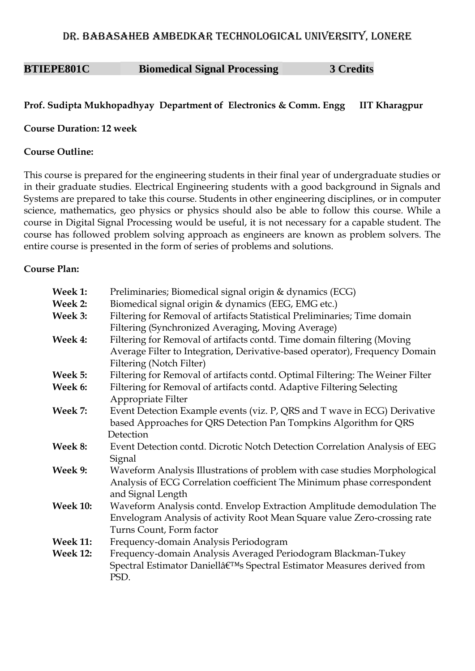# **BTIEPE801C Biomedical Signal Processing 3 Credits**

# **Prof. Sudipta Mukhopadhyay Department of Electronics & Comm. Engg IIT Kharagpur**

### **Course Duration: 12 week**

### **Course Outline:**

This course is prepared for the engineering students in their final year of undergraduate studies or in their graduate studies. Electrical Engineering students with a good background in Signals and Systems are prepared to take this course. Students in other engineering disciplines, or in computer science, mathematics, geo physics or physics should also be able to follow this course. While a course in Digital Signal Processing would be useful, it is not necessary for a capable student. The course has followed problem solving approach as engineers are known as problem solvers. The entire course is presented in the form of series of problems and solutions.

| Week 1:         | Preliminaries; Biomedical signal origin & dynamics (ECG)                             |
|-----------------|--------------------------------------------------------------------------------------|
| Week 2:         | Biomedical signal origin & dynamics (EEG, EMG etc.)                                  |
| Week 3:         | Filtering for Removal of artifacts Statistical Preliminaries; Time domain            |
|                 | Filtering (Synchronized Averaging, Moving Average)                                   |
| Week 4:         | Filtering for Removal of artifacts contd. Time domain filtering (Moving              |
|                 | Average Filter to Integration, Derivative-based operator), Frequency Domain          |
|                 | Filtering (Notch Filter)                                                             |
| Week 5:         | Filtering for Removal of artifacts contd. Optimal Filtering: The Weiner Filter       |
| Week 6:         | Filtering for Removal of artifacts contd. Adaptive Filtering Selecting               |
|                 | Appropriate Filter                                                                   |
| Week 7:         | Event Detection Example events (viz. P, QRS and T wave in ECG) Derivative            |
|                 | based Approaches for QRS Detection Pan Tompkins Algorithm for QRS                    |
|                 | Detection                                                                            |
| Week 8:         | Event Detection contd. Dicrotic Notch Detection Correlation Analysis of EEG          |
|                 | Signal                                                                               |
| Week 9:         | Waveform Analysis Illustrations of problem with case studies Morphological           |
|                 | Analysis of ECG Correlation coefficient The Minimum phase correspondent              |
|                 | and Signal Length                                                                    |
| <b>Week 10:</b> | Waveform Analysis contd. Envelop Extraction Amplitude demodulation The               |
|                 | Envelogram Analysis of activity Root Mean Square value Zero-crossing rate            |
|                 | Turns Count, Form factor                                                             |
| <b>Week 11:</b> | Frequency-domain Analysis Periodogram                                                |
| <b>Week 12:</b> | Frequency-domain Analysis Averaged Periodogram Blackman-Tukey                        |
|                 | Spectral Estimator Daniellâ€ <sup>™</sup> s Spectral Estimator Measures derived from |
|                 | PSD.                                                                                 |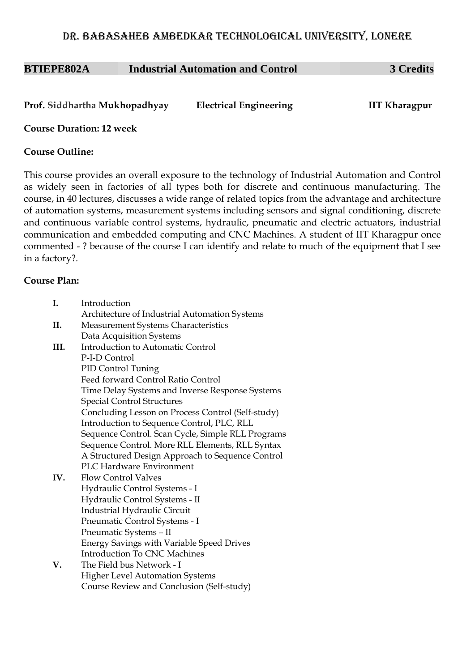| <b>BTIEPE802A</b> | <b>Industrial Automation and Control</b> | <b>3 Credits</b> |
|-------------------|------------------------------------------|------------------|
|                   |                                          |                  |

| Prof. Siddhartha Mukhopadhyay | <b>Electrical Engineering</b> | <b>IIT Kharagpur</b> |
|-------------------------------|-------------------------------|----------------------|
|                               |                               |                      |

**Course Duration: 12 week**

### **Course Outline:**

This course provides an overall exposure to the technology of Industrial Automation and Control as widely seen in factories of all types both for discrete and continuous manufacturing. The course, in 40 lectures, discusses a wide range of related topics from the advantage and architecture of automation systems, measurement systems including sensors and signal conditioning, discrete and continuous variable control systems, hydraulic, pneumatic and electric actuators, industrial communication and embedded computing and CNC Machines. A student of IIT Kharagpur once commented - ? because of the course I can identify and relate to much of the equipment that I see in a factory?.

| I.   | Introduction                                      |
|------|---------------------------------------------------|
|      | Architecture of Industrial Automation Systems     |
| II.  | <b>Measurement Systems Characteristics</b>        |
|      | Data Acquisition Systems                          |
| III. | Introduction to Automatic Control                 |
|      | P-I-D Control                                     |
|      | PID Control Tuning                                |
|      | Feed forward Control Ratio Control                |
|      | Time Delay Systems and Inverse Response Systems   |
|      | <b>Special Control Structures</b>                 |
|      | Concluding Lesson on Process Control (Self-study) |
|      | Introduction to Sequence Control, PLC, RLL        |
|      | Sequence Control. Scan Cycle, Simple RLL Programs |
|      | Sequence Control. More RLL Elements, RLL Syntax   |
|      | A Structured Design Approach to Sequence Control  |
|      | <b>PLC Hardware Environment</b>                   |
| IV.  | <b>Flow Control Valves</b>                        |
|      | Hydraulic Control Systems - I                     |
|      | Hydraulic Control Systems - II                    |
|      | Industrial Hydraulic Circuit                      |
|      | Pneumatic Control Systems - I                     |
|      | Pneumatic Systems - II                            |
|      | <b>Energy Savings with Variable Speed Drives</b>  |
|      | <b>Introduction To CNC Machines</b>               |
| V.   | The Field bus Network - I                         |
|      | <b>Higher Level Automation Systems</b>            |
|      | Course Review and Conclusion (Self-study)         |
|      |                                                   |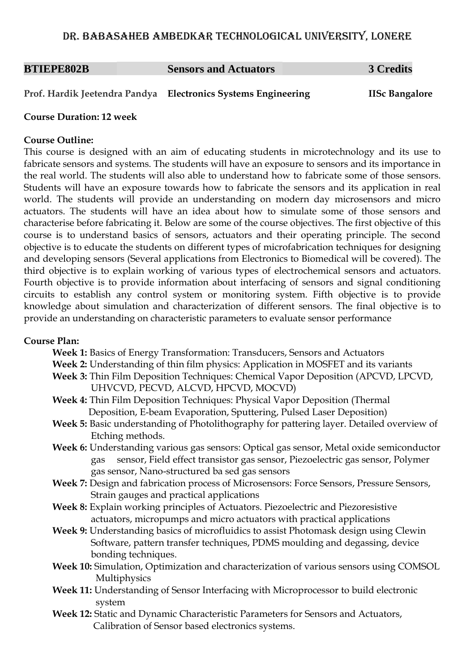### **BTIEPE802B Sensors and Actuators 3 Credits**

**Prof. Hardik Jeetendra Pandya Electronics Systems Engineering IISc Bangalore**

### **Course Duration: 12 week**

### **Course Outline:**

This course is designed with an aim of educating students in microtechnology and its use to fabricate sensors and systems. The students will have an exposure to sensors and its importance in the real world. The students will also able to understand how to fabricate some of those sensors. Students will have an exposure towards how to fabricate the sensors and its application in real world. The students will provide an understanding on modern day microsensors and micro actuators. The students will have an idea about how to simulate some of those sensors and characterise before fabricating it. Below are some of the course objectives. The first objective of this course is to understand basics of sensors, actuators and their operating principle. The second objective is to educate the students on different types of microfabrication techniques for designing and developing sensors (Several applications from Electronics to Biomedical will be covered). The third objective is to explain working of various types of electrochemical sensors and actuators. Fourth objective is to provide information about interfacing of sensors and signal conditioning circuits to establish any control system or monitoring system. Fifth objective is to provide knowledge about simulation and characterization of different sensors. The final objective is to provide an understanding on characteristic parameters to evaluate sensor performance

### **Course Plan:**

**Week 1:** Basics of Energy Transformation: Transducers, Sensors and Actuators

- **Week 2:** Understanding of thin film physics: Application in MOSFET and its variants
- **Week 3:** Thin Film Deposition Techniques: Chemical Vapor Deposition (APCVD, LPCVD, UHVCVD, PECVD, ALCVD, HPCVD, MOCVD)
- **Week 4:** Thin Film Deposition Techniques: Physical Vapor Deposition (Thermal Deposition, E-beam Evaporation, Sputtering, Pulsed Laser Deposition)
- **Week 5:** Basic understanding of Photolithography for pattering layer. Detailed overview of Etching methods.
- **Week 6:** Understanding various gas sensors: Optical gas sensor, Metal oxide semiconductor gas sensor, Field effect transistor gas sensor, Piezoelectric gas sensor, Polymer gas sensor, Nano-structured ba sed gas sensors
- **Week 7:** Design and fabrication process of Microsensors: Force Sensors, Pressure Sensors, Strain gauges and practical applications
- **Week 8:** Explain working principles of Actuators. Piezoelectric and Piezoresistive actuators, micropumps and micro actuators with practical applications
- **Week 9:** Understanding basics of microfluidics to assist Photomask design using Clewin Software, pattern transfer techniques, PDMS moulding and degassing, device bonding techniques.
- **Week 10:** Simulation, Optimization and characterization of various sensors using COMSOL Multiphysics
- **Week 11:** Understanding of Sensor Interfacing with Microprocessor to build electronic system
- **Week 12:** Static and Dynamic Characteristic Parameters for Sensors and Actuators, Calibration of Sensor based electronics systems.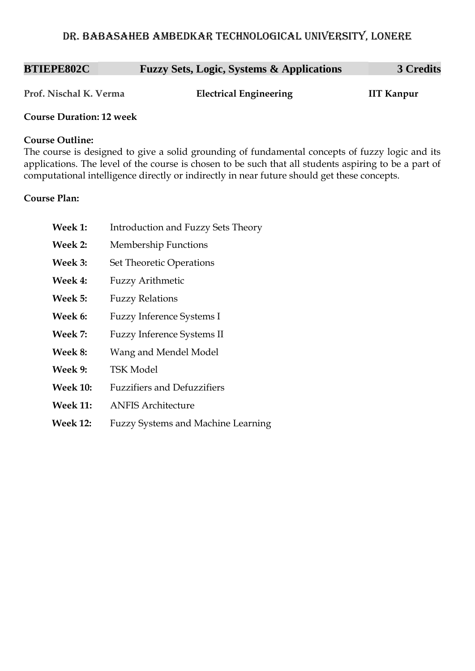| <b>BTIEPE802C</b> | <b>Fuzzy Sets, Logic, Systems &amp; Applications</b> | <b>3 Credits</b> |
|-------------------|------------------------------------------------------|------------------|
|-------------------|------------------------------------------------------|------------------|

**Prof. Nischal K. Verma Electrical Engineering IIT Kanpur**

### **Course Duration: 12 week**

### **Course Outline:**

The course is designed to give a solid grounding of fundamental concepts of fuzzy logic and its applications. The level of the course is chosen to be such that all students aspiring to be a part of computational intelligence directly or indirectly in near future should get these concepts.

| Week 1:         | Introduction and Fuzzy Sets Theory        |
|-----------------|-------------------------------------------|
| Week 2:         | <b>Membership Functions</b>               |
| Week 3:         | <b>Set Theoretic Operations</b>           |
| Week 4:         | <b>Fuzzy Arithmetic</b>                   |
| Week 5:         | <b>Fuzzy Relations</b>                    |
| Week 6:         | <b>Fuzzy Inference Systems I</b>          |
| Week 7:         | <b>Fuzzy Inference Systems II</b>         |
| Week 8:         | Wang and Mendel Model                     |
| Week 9:         | <b>TSK Model</b>                          |
| <b>Week 10:</b> | <b>Fuzzifiers and Defuzzifiers</b>        |
| <b>Week 11:</b> | <b>ANFIS Architecture</b>                 |
| <b>Week 12:</b> | <b>Fuzzy Systems and Machine Learning</b> |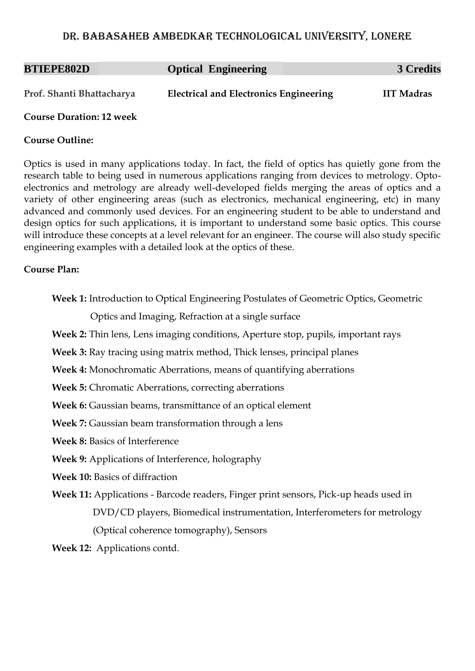| <b>BTIEPE802D</b>         | <b>Optical Engineering</b>                    | 3 Credits         |
|---------------------------|-----------------------------------------------|-------------------|
| Prof. Shanti Bhattacharya | <b>Electrical and Electronics Engineering</b> | <b>IIT Madras</b> |

### **Course Duration: 12 week**

### **Course Outline:**

Optics is used in many applications today. In fact, the field of optics has quietly gone from the research table to being used in numerous applications ranging from devices to metrology. Optoelectronics and metrology are already well-developed fields merging the areas of optics and a variety of other engineering areas (such as electronics, mechanical engineering, etc) in many advanced and commonly used devices. For an engineering student to be able to understand and design optics for such applications, it is important to understand some basic optics. This course will introduce these concepts at a level relevant for an engineer. The course will also study specific engineering examples with a detailed look at the optics of these.

### **Course Plan:**

**Week 1:** Introduction to Optical Engineering Postulates of Geometric Optics, Geometric

Optics and Imaging, Refraction at a single surface

**Week 2:** Thin lens, Lens imaging conditions, Aperture stop, pupils, important rays

**Week 3:** Ray tracing using matrix method, Thick lenses, principal planes

**Week 4:** Monochromatic Aberrations, means of quantifying aberrations

**Week 5:** Chromatic Aberrations, correcting aberrations

**Week 6:** Gaussian beams, transmittance of an optical element

**Week 7:** Gaussian beam transformation through a lens

**Week 8:** Basics of Interference

**Week 9:** Applications of Interference, holography

**Week 10:** Basics of diffraction

**Week 11:** Applications - Barcode readers, Finger print sensors, Pick-up heads used in DVD/CD players, Biomedical instrumentation, Interferometers for metrology (Optical coherence tomography), Sensors

**Week 12:** Applications contd.